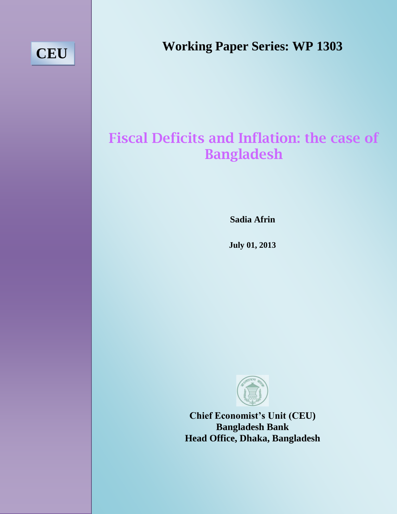# **CEU**

**Working Paper Series: WP 1303**

# **Fiscal Deficits and Inflation: the case of Bangladesh**

**Sadia Afrin**

**January 14, 2013 July 01, 2013**



**Chief Economist's Unit (CEU) Bangladesh Bank Head Office, Dhaka, Bangladesh**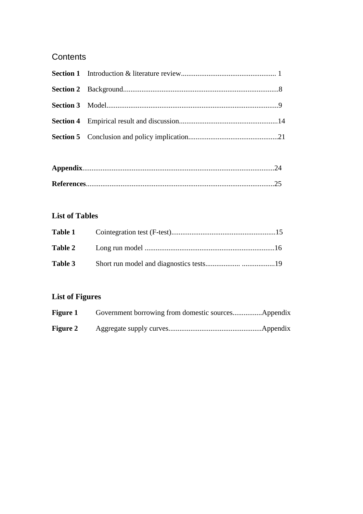# **Contents**

# **List of Tables**

| Table 3 |  |
|---------|--|

# **List of Figures**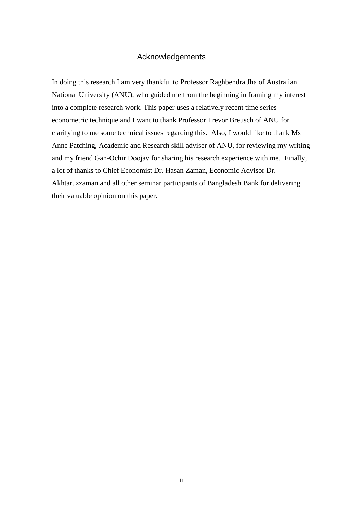## Acknowledgements

In doing this research I am very thankful to Professor Raghbendra Jha of Australian National University (ANU), who guided me from the beginning in framing my interest into a complete research work. This paper uses a relatively recent time series econometric technique and I want to thank Professor Trevor Breusch of ANU for clarifying to me some technical issues regarding this. Also, I would like to thank Ms Anne Patching, Academic and Research skill adviser of ANU, for reviewing my writing and my friend Gan-Ochir Doojav for sharing his research experience with me. Finally, a lot of thanks to Chief Economist Dr. Hasan Zaman, Economic Advisor Dr. Akhtaruzzaman and all other seminar participants of Bangladesh Bank for delivering their valuable opinion on this paper.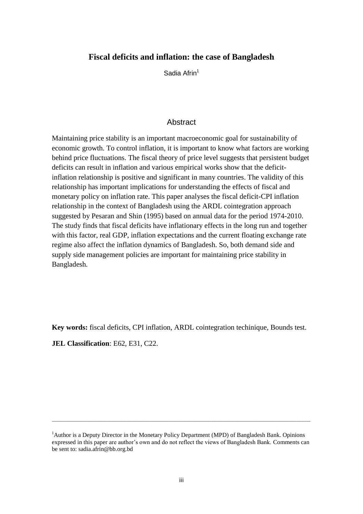## **Fiscal deficits and inflation: the case of Bangladesh**

Sadia Afrin<sup>1</sup>

## Abstract

Maintaining price stability is an important macroeconomic goal for sustainability of economic growth. To control inflation, it is important to know what factors are working behind price fluctuations. The fiscal theory of price level suggests that persistent budget deficits can result in inflation and various empirical works show that the deficitinflation relationship is positive and significant in many countries. The validity of this relationship has important implications for understanding the effects of fiscal and monetary policy on inflation rate. This paper analyses the fiscal deficit-CPI inflation relationship in the context of Bangladesh using the ARDL cointegration approach suggested by Pesaran and Shin (1995) based on annual data for the period 1974-2010. The study finds that fiscal deficits have inflationary effects in the long run and together with this factor, real GDP, inflation expectations and the current floating exchange rate regime also affect the inflation dynamics of Bangladesh. So, both demand side and supply side management policies are important for maintaining price stability in Bangladesh.

**Key words:** fiscal deficits, CPI inflation, ARDL cointegration techinique, Bounds test. **JEL Classification**: E62, E31, C22.

\_\_\_\_\_\_\_\_\_\_\_\_\_\_\_\_\_\_\_\_\_\_\_\_\_\_\_\_\_\_\_\_\_\_\_\_\_\_\_\_\_\_\_\_\_\_\_\_\_\_\_\_\_\_\_\_\_\_\_\_\_\_\_\_\_\_\_\_\_\_\_\_\_\_\_\_\_\_\_\_\_\_\_\_\_\_\_\_\_\_\_\_\_\_\_\_\_\_\_\_\_\_\_\_\_\_\_\_\_\_\_\_\_\_\_\_\_\_\_\_\_\_\_\_\_\_\_\_\_\_\_

<sup>&</sup>lt;sup>1</sup>Author is a Deputy Director in the Monetary Policy Department (MPD) of Bangladesh Bank. Opinions expressed in this paper are author's own and do not reflect the views of Bangladesh Bank. Comments can be sent to: sadia.afrin@bb.org.bd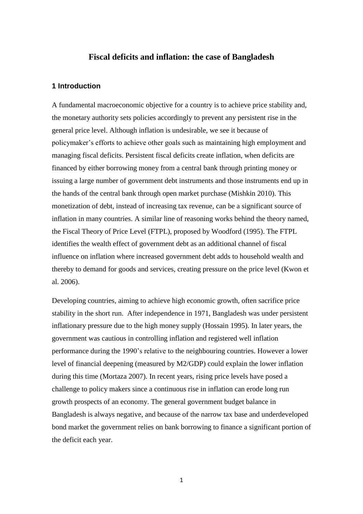## **Fiscal deficits and inflation: the case of Bangladesh**

#### **1 Introduction**

A fundamental macroeconomic objective for a country is to achieve price stability and, the monetary authority sets policies accordingly to prevent any persistent rise in the general price level. Although inflation is undesirable, we see it because of policymaker's efforts to achieve other goals such as maintaining high employment and managing fiscal deficits. Persistent fiscal deficits create inflation, when deficits are financed by either borrowing money from a central bank through printing money or issuing a large number of government debt instruments and those instruments end up in the hands of the central bank through open market purchase (Mishkin 2010). This monetization of debt, instead of increasing tax revenue, can be a significant source of inflation in many countries. A similar line of reasoning works behind the theory named, the Fiscal Theory of Price Level (FTPL), proposed by Woodford (1995). The FTPL identifies the wealth effect of government debt as an additional channel of fiscal influence on inflation where increased government debt adds to household wealth and thereby to demand for goods and services, creating pressure on the price level (Kwon et al. 2006).

Developing countries, aiming to achieve high economic growth, often sacrifice price stability in the short run. After independence in 1971, Bangladesh was under persistent inflationary pressure due to the high money supply (Hossain 1995). In later years, the government was cautious in controlling inflation and registered well inflation performance during the 1990's relative to the neighbouring countries. However a lower level of financial deepening (measured by M2/GDP) could explain the lower inflation during this time (Mortaza 2007). In recent years, rising price levels have posed a challenge to policy makers since a continuous rise in inflation can erode long run growth prospects of an economy. The general government budget balance in Bangladesh is always negative, and because of the narrow tax base and underdeveloped bond market the government relies on bank borrowing to finance a significant portion of the deficit each year.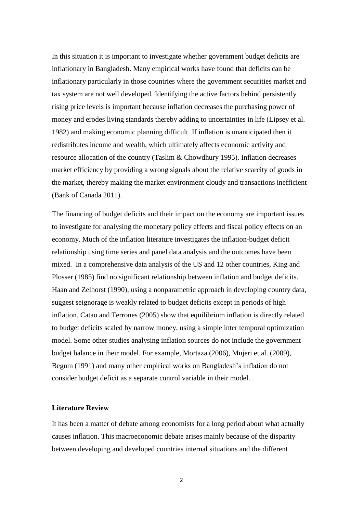In this situation it is important to investigate whether government budget deficits are inflationary in Bangladesh. Many empirical works have found that deficits can be inflationary particularly in those countries where the government securities market and tax system are not well developed. Identifying the active factors behind persistently rising price levels is important because inflation decreases the purchasing power of money and erodes living standards thereby adding to uncertainties in life (Lipsey et al. 1982) and making economic planning difficult. If inflation is unanticipated then it redistributes income and wealth, which ultimately affects economic activity and resource allocation of the country (Taslim & Chowdhury 1995). Inflation decreases market efficiency by providing a wrong signals about the relative scarcity of goods in the market, thereby making the market environment cloudy and transactions inefficient (Bank of Canada 2011).

The financing of budget deficits and their impact on the economy are important issues to investigate for analysing the monetary policy effects and fiscal policy effects on an economy. Much of the inflation literature investigates the inflation-budget deficit relationship using time series and panel data analysis and the outcomes have been mixed. In a comprehensive data analysis of the US and 12 other countries, King and Plosser (1985) find no significant relationship between inflation and budget deficits. Haan and Zelhorst (1990), using a nonparametric approach in developing country data, suggest seignorage is weakly related to budget deficits except in periods of high inflation. Catao and Terrones (2005) show that equilibrium inflation is directly related to budget deficits scaled by narrow money, using a simple inter temporal optimization model. Some other studies analysing inflation sources do not include the government budget balance in their model. For example, Mortaza (2006), Mujeri et al. (2009), Begum (1991) and many other empirical works on Bangladesh's inflation do not consider budget deficit as a separate control variable in their model.

#### **Literature Review**

It has been a matter of debate among economists for a long period about what actually causes inflation. This macroeconomic debate arises mainly because of the disparity between developing and developed countries internal situations and the different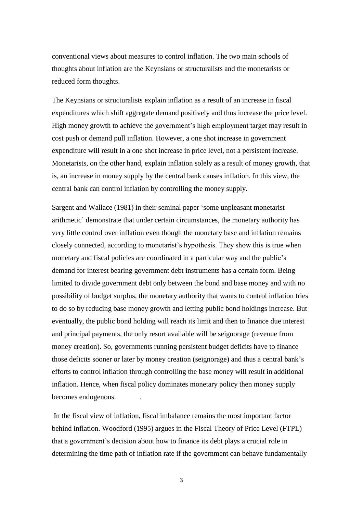conventional views about measures to control inflation. The two main schools of thoughts about inflation are the Keynsians or structuralists and the monetarists or reduced form thoughts.

The Keynsians or structuralists explain inflation as a result of an increase in fiscal expenditures which shift aggregate demand positively and thus increase the price level. High money growth to achieve the government's high employment target may result in cost push or demand pull inflation. However, a one shot increase in government expenditure will result in a one shot increase in price level, not a persistent increase. Monetarists, on the other hand, explain inflation solely as a result of money growth, that is, an increase in money supply by the central bank causes inflation. In this view, the central bank can control inflation by controlling the money supply.

Sargent and Wallace (1981) in their seminal paper 'some unpleasant monetarist arithmetic' demonstrate that under certain circumstances, the monetary authority has very little control over inflation even though the monetary base and inflation remains closely connected, according to monetarist's hypothesis. They show this is true when monetary and fiscal policies are coordinated in a particular way and the public's demand for interest bearing government debt instruments has a certain form. Being limited to divide government debt only between the bond and base money and with no possibility of budget surplus, the monetary authority that wants to control inflation tries to do so by reducing base money growth and letting public bond holdings increase. But eventually, the public bond holding will reach its limit and then to finance due interest and principal payments, the only resort available will be seignorage (revenue from money creation). So, governments running persistent budget deficits have to finance those deficits sooner or later by money creation (seignorage) and thus a central bank's efforts to control inflation through controlling the base money will result in additional inflation. Hence, when fiscal policy dominates monetary policy then money supply becomes endogenous. .

In the fiscal view of inflation, fiscal imbalance remains the most important factor behind inflation. Woodford (1995) argues in the Fiscal Theory of Price Level (FTPL) that a government's decision about how to finance its debt plays a crucial role in determining the time path of inflation rate if the government can behave fundamentally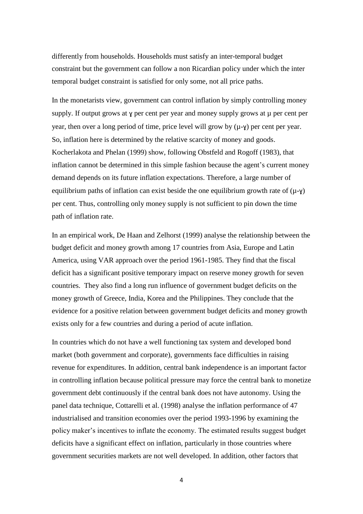differently from households. Households must satisfy an inter-temporal budget constraint but the government can follow a non Ricardian policy under which the inter temporal budget constraint is satisfied for only some, not all price paths.

In the monetarists view, government can control inflation by simply controlling money supply. If output grows at y per cent per year and money supply grows at  $\mu$  per cent per year, then over a long period of time, price level will grow by  $(\mu - \gamma)$  per cent per year. So, inflation here is determined by the relative scarcity of money and goods. Kocherlakota and Phelan (1999) show, following Obstfeld and Rogoff (1983), that inflation cannot be determined in this simple fashion because the agent's current money demand depends on its future inflation expectations. Therefore, a large number of equilibrium paths of inflation can exist beside the one equilibrium growth rate of  $(\mu - \gamma)$ per cent. Thus, controlling only money supply is not sufficient to pin down the time path of inflation rate.

In an empirical work, De Haan and Zelhorst (1999) analyse the relationship between the budget deficit and money growth among 17 countries from Asia, Europe and Latin America, using VAR approach over the period 1961-1985. They find that the fiscal deficit has a significant positive temporary impact on reserve money growth for seven countries. They also find a long run influence of government budget deficits on the money growth of Greece, India, Korea and the Philippines. They conclude that the evidence for a positive relation between government budget deficits and money growth exists only for a few countries and during a period of acute inflation.

In countries which do not have a well functioning tax system and developed bond market (both government and corporate), governments face difficulties in raising revenue for expenditures. In addition, central bank independence is an important factor in controlling inflation because political pressure may force the central bank to monetize government debt continuously if the central bank does not have autonomy. Using the panel data technique, Cottarelli et al. (1998) analyse the inflation performance of 47 industrialised and transition economies over the period 1993-1996 by examining the policy maker's incentives to inflate the economy. The estimated results suggest budget deficits have a significant effect on inflation, particularly in those countries where government securities markets are not well developed. In addition, other factors that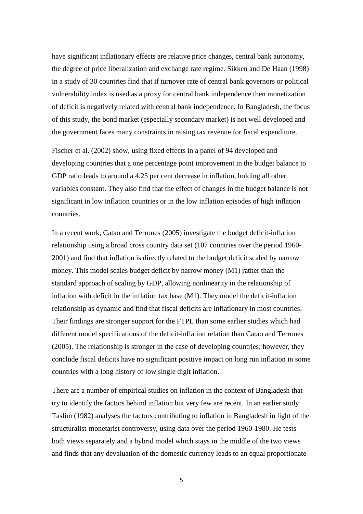have significant inflationary effects are relative price changes, central bank autonomy, the degree of price liberalization and exchange rate regime. Sikken and De Haan (1998) in a study of 30 countries find that if turnover rate of central bank governors or political vulnerability index is used as a proxy for central bank independence then monetization of deficit is negatively related with central bank independence. In Bangladesh, the focus of this study, the bond market (especially secondary market) is not well developed and the government faces many constraints in raising tax revenue for fiscal expenditure.

Fischer et al. (2002) show, using fixed effects in a panel of 94 developed and developing countries that a one percentage point improvement in the budget balance to GDP ratio leads to around a 4.25 per cent decrease in inflation, holding all other variables constant. They also find that the effect of changes in the budget balance is not significant in low inflation countries or in the low inflation episodes of high inflation countries.

In a recent work, Catao and Terrones (2005) investigate the budget deficit-inflation relationship using a broad cross country data set (107 countries over the period 1960- 2001) and find that inflation is directly related to the budget deficit scaled by narrow money. This model scales budget deficit by narrow money (M1) rather than the standard approach of scaling by GDP, allowing nonlinearity in the relationship of inflation with deficit in the inflation tax base (M1). They model the deficit-inflation relationship as dynamic and find that fiscal deficits are inflationary in most countries. Their findings are stronger support for the FTPL than some earlier studies which had different model specifications of the deficit-inflation relation than Catao and Terrones (2005). The relationship is stronger in the case of developing countries; however, they conclude fiscal deficits have no significant positive impact on long run inflation in some countries with a long history of low single digit inflation.

There are a number of empirical studies on inflation in the context of Bangladesh that try to identify the factors behind inflation but very few are recent. In an earlier study Taslim (1982) analyses the factors contributing to inflation in Bangladesh in light of the structuralist-monetarist controversy, using data over the period 1960-1980. He tests both views separately and a hybrid model which stays in the middle of the two views and finds that any devaluation of the domestic currency leads to an equal proportionate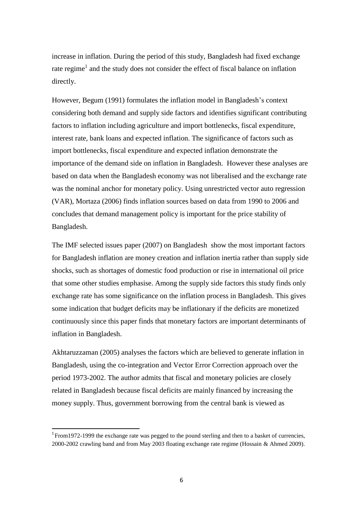increase in inflation. During the period of this study, Bangladesh had fixed exchange rate regime<sup>1</sup> and the study does not consider the effect of fiscal balance on inflation directly.

However, Begum (1991) formulates the inflation model in Bangladesh's context considering both demand and supply side factors and identifies significant contributing factors to inflation including agriculture and import bottlenecks, fiscal expenditure, interest rate, bank loans and expected inflation. The significance of factors such as import bottlenecks, fiscal expenditure and expected inflation demonstrate the importance of the demand side on inflation in Bangladesh. However these analyses are based on data when the Bangladesh economy was not liberalised and the exchange rate was the nominal anchor for monetary policy. Using unrestricted vector auto regression (VAR), Mortaza (2006) finds inflation sources based on data from 1990 to 2006 and concludes that demand management policy is important for the price stability of Bangladesh.

The IMF selected issues paper (2007) on Bangladesh show the most important factors for Bangladesh inflation are money creation and inflation inertia rather than supply side shocks, such as shortages of domestic food production or rise in international oil price that some other studies emphasise. Among the supply side factors this study finds only exchange rate has some significance on the inflation process in Bangladesh. This gives some indication that budget deficits may be inflationary if the deficits are monetized continuously since this paper finds that monetary factors are important determinants of inflation in Bangladesh.

Akhtaruzzaman (2005) analyses the factors which are believed to generate inflation in Bangladesh, using the co-integration and Vector Error Correction approach over the period 1973-2002. The author admits that fiscal and monetary policies are closely related in Bangladesh because fiscal deficits are mainly financed by increasing the money supply. Thus, government borrowing from the central bank is viewed as

**.** 

<sup>&</sup>lt;sup>1</sup> From1972-1999 the exchange rate was pegged to the pound sterling and then to a basket of currencies, 2000-2002 crawling band and from May 2003 floating exchange rate regime (Hossain & Ahmed 2009).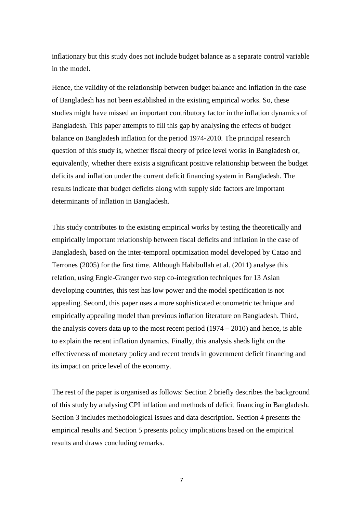inflationary but this study does not include budget balance as a separate control variable in the model.

Hence, the validity of the relationship between budget balance and inflation in the case of Bangladesh has not been established in the existing empirical works. So, these studies might have missed an important contributory factor in the inflation dynamics of Bangladesh. This paper attempts to fill this gap by analysing the effects of budget balance on Bangladesh inflation for the period 1974-2010. The principal research question of this study is, whether fiscal theory of price level works in Bangladesh or, equivalently, whether there exists a significant positive relationship between the budget deficits and inflation under the current deficit financing system in Bangladesh. The results indicate that budget deficits along with supply side factors are important determinants of inflation in Bangladesh.

This study contributes to the existing empirical works by testing the theoretically and empirically important relationship between fiscal deficits and inflation in the case of Bangladesh, based on the inter-temporal optimization model developed by Catao and Terrones (2005) for the first time. Although Habibullah et al. (2011) analyse this relation, using Engle-Granger two step co-integration techniques for 13 Asian developing countries, this test has low power and the model specification is not appealing. Second, this paper uses a more sophisticated econometric technique and empirically appealing model than previous inflation literature on Bangladesh. Third, the analysis covers data up to the most recent period  $(1974 - 2010)$  and hence, is able to explain the recent inflation dynamics. Finally, this analysis sheds light on the effectiveness of monetary policy and recent trends in government deficit financing and its impact on price level of the economy.

The rest of the paper is organised as follows: Section 2 briefly describes the background of this study by analysing CPI inflation and methods of deficit financing in Bangladesh. Section 3 includes methodological issues and data description. Section 4 presents the empirical results and Section 5 presents policy implications based on the empirical results and draws concluding remarks.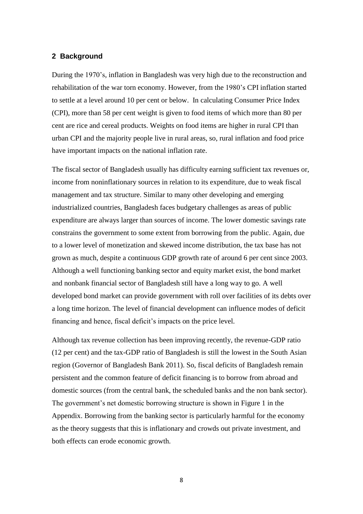#### **2 Background**

During the 1970's, inflation in Bangladesh was very high due to the reconstruction and rehabilitation of the war torn economy. However, from the 1980's CPI inflation started to settle at a level around 10 per cent or below. In calculating Consumer Price Index (CPI), more than 58 per cent weight is given to food items of which more than 80 per cent are rice and cereal products. Weights on food items are higher in rural CPI than urban CPI and the majority people live in rural areas, so, rural inflation and food price have important impacts on the national inflation rate.

The fiscal sector of Bangladesh usually has difficulty earning sufficient tax revenues or, income from noninflationary sources in relation to its expenditure, due to weak fiscal management and tax structure. Similar to many other developing and emerging industrialized countries, Bangladesh faces budgetary challenges as areas of public expenditure are always larger than sources of income. The lower domestic savings rate constrains the government to some extent from borrowing from the public. Again, due to a lower level of monetization and skewed income distribution, the tax base has not grown as much, despite a continuous GDP growth rate of around 6 per cent since 2003. Although a well functioning banking sector and equity market exist, the bond market and nonbank financial sector of Bangladesh still have a long way to go. A well developed bond market can provide government with roll over facilities of its debts over a long time horizon. The level of financial development can influence modes of deficit financing and hence, fiscal deficit's impacts on the price level.

Although tax revenue collection has been improving recently, the revenue-GDP ratio (12 per cent) and the tax-GDP ratio of Bangladesh is still the lowest in the South Asian region (Governor of Bangladesh Bank 2011). So, fiscal deficits of Bangladesh remain persistent and the common feature of deficit financing is to borrow from abroad and domestic sources (from the central bank, the scheduled banks and the non bank sector). The government's net domestic borrowing structure is shown in Figure 1 in the Appendix. Borrowing from the banking sector is particularly harmful for the economy as the theory suggests that this is inflationary and crowds out private investment, and both effects can erode economic growth.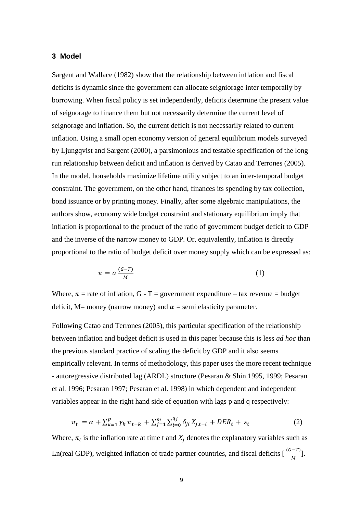#### **3 Model**

Sargent and Wallace (1982) show that the relationship between inflation and fiscal deficits is dynamic since the government can allocate seigniorage inter temporally by borrowing. When fiscal policy is set independently, deficits determine the present value of seignorage to finance them but not necessarily determine the current level of seignorage and inflation. So, the current deficit is not necessarily related to current inflation. Using a small open economy version of general equilibrium models surveyed by Ljungqvist and Sargent (2000), a parsimonious and testable specification of the long run relationship between deficit and inflation is derived by Catao and Terrones (2005). In the model, households maximize lifetime utility subject to an inter-temporal budget constraint. The government, on the other hand, finances its spending by tax collection, bond issuance or by printing money. Finally, after some algebraic manipulations, the authors show, economy wide budget constraint and stationary equilibrium imply that inflation is proportional to the product of the ratio of government budget deficit to GDP and the inverse of the narrow money to GDP. Or, equivalently, inflation is directly proportional to the ratio of budget deficit over money supply which can be expressed as:

$$
\pi = \alpha \frac{(G - T)}{M} \tag{1}
$$

Where,  $\pi$  = rate of inflation, G - T = government expenditure – tax revenue = budget deficit, M= money (narrow money) and  $\alpha$  = semi elasticity parameter.

Following Catao and Terrones (2005), this particular specification of the relationship between inflation and budget deficit is used in this paper because this is less *ad hoc* than the previous standard practice of scaling the deficit by GDP and it also seems empirically relevant. In terms of methodology, this paper uses the more recent technique - autoregressive distributed lag (ARDL) structure (Pesaran & Shin 1995, 1999; Pesaran et al. 1996; Pesaran 1997; Pesaran et al. 1998) in which dependent and independent variables appear in the right hand side of equation with lags p and q respectively:

$$
\pi_t = \alpha + \sum_{k=1}^p \gamma_k \pi_{t-k} + \sum_{j=1}^m \sum_{i=0}^{q_j} \delta_{ji} X_{j,t-i} + DER_t + \varepsilon_t \tag{2}
$$

Where,  $\pi_t$  is the inflation rate at time t and  $X_i$  denotes the explanatory variables such as Ln(real GDP), weighted inflation of trade partner countries, and fiscal deficits  $\left[\frac{(G-T)}{M}\right]$ .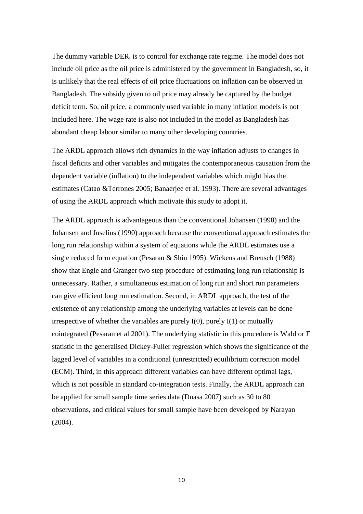The dummy variable  $DER_t$  is to control for exchange rate regime. The model does not include oil price as the oil price is administered by the government in Bangladesh, so, it is unlikely that the real effects of oil price fluctuations on inflation can be observed in Bangladesh. The subsidy given to oil price may already be captured by the budget deficit term. So, oil price, a commonly used variable in many inflation models is not included here. The wage rate is also not included in the model as Bangladesh has abundant cheap labour similar to many other developing countries.

The ARDL approach allows rich dynamics in the way inflation adjusts to changes in fiscal deficits and other variables and mitigates the contemporaneous causation from the dependent variable (inflation) to the independent variables which might bias the estimates (Catao &Terrones 2005; Banaerjee et al. 1993). There are several advantages of using the ARDL approach which motivate this study to adopt it.

The ARDL approach is advantageous than the conventional Johansen (1998) and the Johansen and Juselius (1990) approach because the conventional approach estimates the long run relationship within a system of equations while the ARDL estimates use a single reduced form equation (Pesaran & Shin 1995). Wickens and Breusch (1988) show that Engle and Granger two step procedure of estimating long run relationship is unnecessary. Rather, a simultaneous estimation of long run and short run parameters can give efficient long run estimation. Second, in ARDL approach, the test of the existence of any relationship among the underlying variables at levels can be done irrespective of whether the variables are purely  $I(0)$ , purely  $I(1)$  or mutually cointegrated (Pesaran et al 2001). The underlying statistic in this procedure is Wald or F statistic in the generalised Dickey-Fuller regression which shows the significance of the lagged level of variables in a conditional (unrestricted) equilibrium correction model (ECM). Third, in this approach different variables can have different optimal lags, which is not possible in standard co-integration tests. Finally, the ARDL approach can be applied for small sample time series data (Duasa 2007) such as 30 to 80 observations, and critical values for small sample have been developed by Narayan (2004).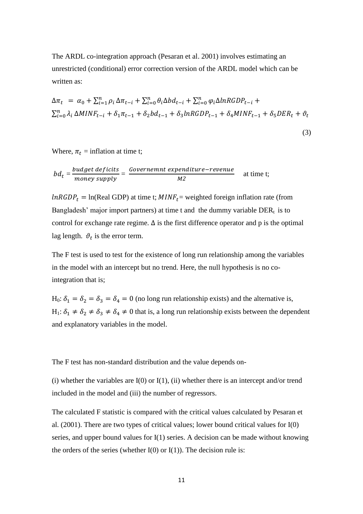The ARDL co-integration approach (Pesaran et al. 2001) involves estimating an unrestricted (conditional) error correction version of the ARDL model which can be written as:

$$
\Delta \pi_t = \alpha_0 + \sum_{i=1}^n \rho_i \Delta \pi_{t-i} + \sum_{i=0}^n \theta_i \Delta b d_{t-i} + \sum_{i=0}^n \varphi_i \Delta ln R GDP_{t-i} +
$$
  

$$
\sum_{i=0}^n \lambda_i \Delta M INF_{t-i} + \delta_1 \pi_{t-1} + \delta_2 bd_{t-1} + \delta_3 ln R GDP_{t-1} + \delta_4 M INF_{t-1} + \delta_5 DER_t + \vartheta_t
$$

$$
(3)
$$

Where,  $\pi_t$  = inflation at time t;

$$
bd_t = \frac{budget \,deficits}{money \, supply} = \frac{Government \, expenditure-revenue}{M2} \quad \text{at time t};
$$

 $lnRGDP_t = ln(Real GDP)$  at time t;  $MINF_t =$  weighted foreign inflation rate (from Bangladesh' major import partners) at time t and the dummy variable  $DER<sub>t</sub>$  is to control for exchange rate regime.  $\Delta$  is the first difference operator and p is the optimal lag length.  $\vartheta_t$  is the error term.

The F test is used to test for the existence of long run relationship among the variables in the model with an intercept but no trend. Here, the null hypothesis is no cointegration that is;

H<sub>0</sub>:  $\delta_1 = \delta_2 = \delta_3 = \delta_4 = 0$  (no long run relationship exists) and the alternative is, H<sub>1</sub>:  $\delta_1 \neq \delta_2 \neq \delta_3 \neq \delta_4 \neq 0$  that is, a long run relationship exists between the dependent and explanatory variables in the model.

The F test has non-standard distribution and the value depends on-

(i) whether the variables are  $I(0)$  or  $I(1)$ , (ii) whether there is an intercept and/or trend included in the model and (iii) the number of regressors.

The calculated F statistic is compared with the critical values calculated by Pesaran et al. (2001). There are two types of critical values; lower bound critical values for I(0) series, and upper bound values for I(1) series. A decision can be made without knowing the orders of the series (whether  $I(0)$  or  $I(1)$ ). The decision rule is: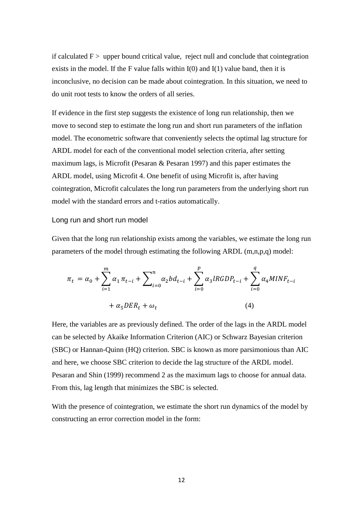if calculated  $F$  > upper bound critical value, reject null and conclude that cointegration exists in the model. If the F value falls within  $I(0)$  and  $I(1)$  value band, then it is inconclusive, no decision can be made about cointegration. In this situation, we need to do unit root tests to know the orders of all series.

If evidence in the first step suggests the existence of long run relationship, then we move to second step to estimate the long run and short run parameters of the inflation model. The econometric software that conveniently selects the optimal lag structure for ARDL model for each of the conventional model selection criteria, after setting maximum lags, is Microfit (Pesaran & Pesaran 1997) and this paper estimates the ARDL model, using Microfit 4. One benefit of using Microfit is, after having cointegration, Microfit calculates the long run parameters from the underlying short run model with the standard errors and t-ratios automatically.

#### Long run and short run model

Given that the long run relationship exists among the variables, we estimate the long run parameters of the model through estimating the following ARDL  $(m,n,p,q)$  model:

$$
\pi_{t} = \alpha_{0} + \sum_{i=1}^{m} \alpha_{1} \pi_{t-i} + \sum_{i=0}^{n} \alpha_{2} b d_{t-i} + \sum_{i=0}^{p} \alpha_{3} l R G D P_{t-i} + \sum_{i=0}^{q} \alpha_{4} M I N F_{t-i} + \alpha_{5} D E R_{t} + \omega_{t}
$$
\n(4)

Here, the variables are as previously defined. The order of the lags in the ARDL model can be selected by Akaike Information Criterion (AIC) or Schwarz Bayesian criterion (SBC) or Hannan-Quinn (HQ) criterion. SBC is known as more parsimonious than AIC and here, we choose SBC criterion to decide the lag structure of the ARDL model. Pesaran and Shin (1999) recommend 2 as the maximum lags to choose for annual data. From this, lag length that minimizes the SBC is selected.

With the presence of cointegration, we estimate the short run dynamics of the model by constructing an error correction model in the form: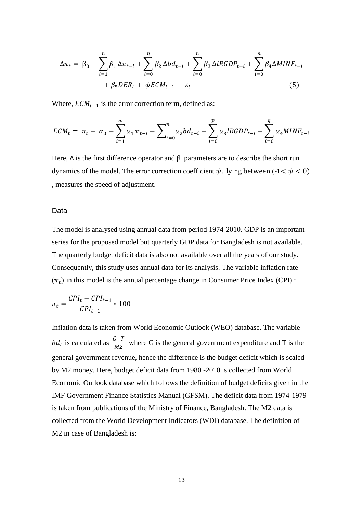$$
\Delta \pi_t = \beta_0 + \sum_{i=1}^n \beta_1 \Delta \pi_{t-i} + \sum_{i=0}^n \beta_2 \Delta b d_{t-i} + \sum_{i=0}^n \beta_3 \Delta l R G D P_{t-i} + \sum_{i=0}^n \beta_4 \Delta M I N F_{t-i} + \beta_5 D E R_t + \psi E C M_{t-1} + \varepsilon_t
$$
\n(5)

Where,  $ECM_{t-1}$  is the error correction term, defined as:

$$
ECM_t = \pi_t - \alpha_0 - \sum_{i=1}^m \alpha_i \pi_{t-i} - \sum_{i=0}^n \alpha_i bd_{t-i} - \sum_{i=0}^p \alpha_i lRGDP_{t-i} - \sum_{i=0}^q \alpha_i MINF_{t-i}
$$

Here,  $\Delta$  is the first difference operator and  $\beta$  parameters are to describe the short run dynamics of the model. The error correction coefficient  $\psi$ , lying between (-1<  $\psi$  < 0) , measures the speed of adjustment.

#### Data

The model is analysed using annual data from period 1974-2010. GDP is an important series for the proposed model but quarterly GDP data for Bangladesh is not available. The quarterly budget deficit data is also not available over all the years of our study. Consequently, this study uses annual data for its analysis. The variable inflation rate  $(\pi_t)$  in this model is the annual percentage change in Consumer Price Index (CPI) :

$$
\pi_t = \frac{CPI_t - CPI_{t-1}}{CPI_{t-1}} * 100
$$

Inflation data is taken from World Economic Outlook (WEO) database. The variable  $bd_t$  is calculated as  $\frac{a-1}{M^2}$  where G is the general government expenditure and T is the general government revenue, hence the difference is the budget deficit which is scaled by M2 money. Here, budget deficit data from 1980 -2010 is collected from World Economic Outlook database which follows the definition of budget deficits given in the IMF Government Finance Statistics Manual (GFSM). The deficit data from 1974-1979 is taken from publications of the Ministry of Finance, Bangladesh. The M2 data is collected from the World Development Indicators (WDI) database. The definition of M2 in case of Bangladesh is: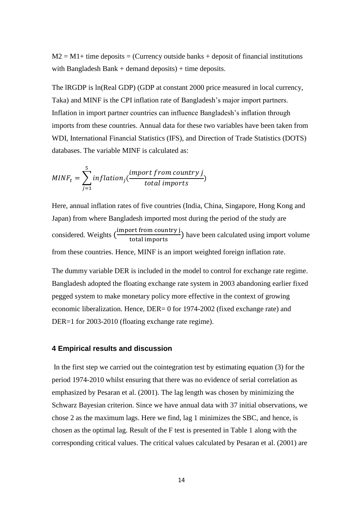$M2 = M1$ + time deposits = (Currency outside banks + deposit of financial institutions with Bangladesh Bank  $+$  demand deposits)  $+$  time deposits.

The lRGDP is ln(Real GDP) (GDP at constant 2000 price measured in local currency, Taka) and MINF is the CPI inflation rate of Bangladesh's major import partners. Inflation in import partner countries can influence Bangladesh's inflation through imports from these countries. Annual data for these two variables have been taken from WDI, International Financial Statistics (IFS), and Direction of Trade Statistics (DOTS) databases. The variable MINF is calculated as:

$$
MINF_t = \sum_{j=1}^{5} inflation_j(\frac{import from country j}{total imports})
$$

Here, annual inflation rates of five countries (India, China, Singapore, Hong Kong and Japan) from where Bangladesh imported most during the period of the study are considered. Weights ( $\frac{i}{1}$  $\frac{61 \text{ H} \cdot \text{H}}{\text{total imports}}$ ) have been calculated using import volume from these countries. Hence, MINF is an import weighted foreign inflation rate.

The dummy variable DER is included in the model to control for exchange rate regime. Bangladesh adopted the floating exchange rate system in 2003 abandoning earlier fixed pegged system to make monetary policy more effective in the context of growing economic liberalization. Hence, DER= 0 for 1974-2002 (fixed exchange rate) and DER=1 for 2003-2010 (floating exchange rate regime).

#### **4 Empirical results and discussion**

In the first step we carried out the cointegration test by estimating equation (3) for the period 1974-2010 whilst ensuring that there was no evidence of serial correlation as emphasized by Pesaran et al. (2001). The lag length was chosen by minimizing the Schwarz Bayesian criterion. Since we have annual data with 37 initial observations, we chose 2 as the maximum lags. Here we find, lag 1 minimizes the SBC, and hence, is chosen as the optimal lag. Result of the F test is presented in Table 1 along with the corresponding critical values. The critical values calculated by Pesaran et al. (2001) are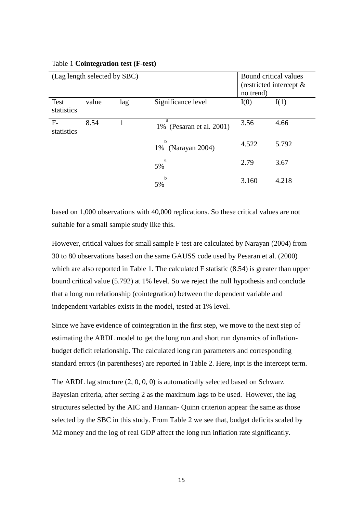| (Lag length selected by SBC) |       |     | Bound critical values<br>(restricted intercept $\&$<br>no trend) |       |       |
|------------------------------|-------|-----|------------------------------------------------------------------|-------|-------|
| <b>Test</b><br>statistics    | value | lag | Significance level                                               | I(0)  | I(1)  |
| $F-$<br>statistics           | 8.54  |     | a<br>1% (Pesaran et al. 2001)                                    | 3.56  | 4.66  |
|                              |       |     | h<br>1% (Narayan 2004)                                           | 4.522 | 5.792 |
|                              |       |     | a<br>5%                                                          | 2.79  | 3.67  |
|                              |       |     | b<br>5%                                                          | 3.160 | 4.218 |

#### Table 1 **Cointegration test (F-test)**

based on 1,000 observations with 40,000 replications. So these critical values are not suitable for a small sample study like this.

However, critical values for small sample F test are calculated by Narayan (2004) from 30 to 80 observations based on the same GAUSS code used by Pesaran et al. (2000) which are also reported in Table 1. The calculated F statistic  $(8.54)$  is greater than upper bound critical value (5.792) at 1% level. So we reject the null hypothesis and conclude that a long run relationship (cointegration) between the dependent variable and independent variables exists in the model, tested at 1% level.

Since we have evidence of cointegration in the first step, we move to the next step of estimating the ARDL model to get the long run and short run dynamics of inflationbudget deficit relationship. The calculated long run parameters and corresponding standard errors (in parentheses) are reported in Table 2. Here, inpt is the intercept term.

The ARDL lag structure (2, 0, 0, 0) is automatically selected based on Schwarz Bayesian criteria, after setting 2 as the maximum lags to be used. However, the lag structures selected by the AIC and Hannan- Quinn criterion appear the same as those selected by the SBC in this study. From Table 2 we see that, budget deficits scaled by M2 money and the log of real GDP affect the long run inflation rate significantly.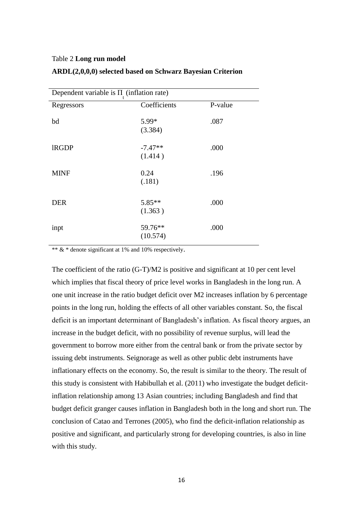#### Table 2 **Long run model**

| Dependent variable is $\Pi$ (inflation rate) |                      |         |  |
|----------------------------------------------|----------------------|---------|--|
| Regressors                                   | Coefficients         | P-value |  |
| bd                                           | 5.99*<br>(3.384)     | .087    |  |
| <b>IRGDP</b>                                 | $-7.47**$<br>(1.414) | .000    |  |
| <b>MINF</b>                                  | 0.24<br>(.181)       | .196    |  |
| <b>DER</b>                                   | 5.85**<br>(1.363)    | .000    |  |
| inpt                                         | 59.76**<br>(10.574)  | .000    |  |

#### **ARDL(2,0,0,0) selected based on Schwarz Bayesian Criterion**

\*\* & \* denote significant at 1% and 10% respectively.

The coefficient of the ratio (G-T)/M2 is positive and significant at 10 per cent level which implies that fiscal theory of price level works in Bangladesh in the long run. A one unit increase in the ratio budget deficit over M2 increases inflation by 6 percentage points in the long run, holding the effects of all other variables constant. So, the fiscal deficit is an important determinant of Bangladesh's inflation. As fiscal theory argues, an increase in the budget deficit, with no possibility of revenue surplus, will lead the government to borrow more either from the central bank or from the private sector by issuing debt instruments. Seignorage as well as other public debt instruments have inflationary effects on the economy. So, the result is similar to the theory. The result of this study is consistent with Habibullah et al. (2011) who investigate the budget deficitinflation relationship among 13 Asian countries; including Bangladesh and find that budget deficit granger causes inflation in Bangladesh both in the long and short run. The conclusion of Catao and Terrones (2005), who find the deficit-inflation relationship as positive and significant, and particularly strong for developing countries, is also in line with this study.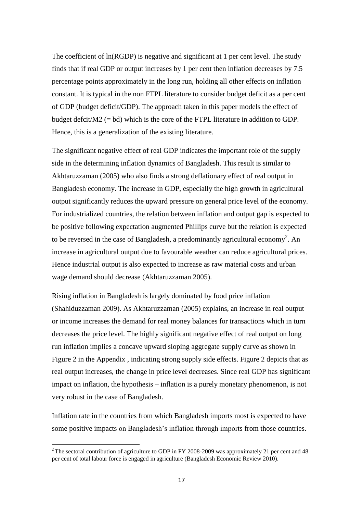The coefficient of  $ln(RGDP)$  is negative and significant at 1 per cent level. The study finds that if real GDP or output increases by 1 per cent then inflation decreases by 7.5 percentage points approximately in the long run, holding all other effects on inflation constant. It is typical in the non FTPL literature to consider budget deficit as a per cent of GDP (budget deficit/GDP). The approach taken in this paper models the effect of budget defcit/M2 (= bd) which is the core of the FTPL literature in addition to GDP. Hence, this is a generalization of the existing literature.

The significant negative effect of real GDP indicates the important role of the supply side in the determining inflation dynamics of Bangladesh. This result is similar to Akhtaruzzaman (2005) who also finds a strong deflationary effect of real output in Bangladesh economy. The increase in GDP, especially the high growth in agricultural output significantly reduces the upward pressure on general price level of the economy. For industrialized countries, the relation between inflation and output gap is expected to be positive following expectation augmented Phillips curve but the relation is expected to be reversed in the case of Bangladesh, a predominantly agricultural economy<sup>2</sup>. An increase in agricultural output due to favourable weather can reduce agricultural prices. Hence industrial output is also expected to increase as raw material costs and urban wage demand should decrease (Akhtaruzzaman 2005).

Rising inflation in Bangladesh is largely dominated by food price inflation (Shahiduzzaman 2009). As Akhtaruzzaman (2005) explains, an increase in real output or income increases the demand for real money balances for transactions which in turn decreases the price level. The highly significant negative effect of real output on long run inflation implies a concave upward sloping aggregate supply curve as shown in Figure 2 in the Appendix , indicating strong supply side effects. Figure 2 depicts that as real output increases, the change in price level decreases. Since real GDP has significant impact on inflation, the hypothesis – inflation is a purely monetary phenomenon, is not very robust in the case of Bangladesh.

Inflation rate in the countries from which Bangladesh imports most is expected to have some positive impacts on Bangladesh's inflation through imports from those countries.

<sup>&</sup>lt;sup>2</sup> The sectoral contribution of agriculture to GDP in FY 2008-2009 was approximately 21 per cent and 48 per cent of total labour force is engaged in agriculture (Bangladesh Economic Review 2010).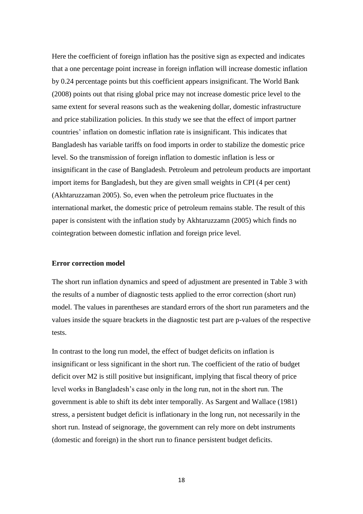Here the coefficient of foreign inflation has the positive sign as expected and indicates that a one percentage point increase in foreign inflation will increase domestic inflation by 0.24 percentage points but this coefficient appears insignificant. The World Bank (2008) points out that rising global price may not increase domestic price level to the same extent for several reasons such as the weakening dollar, domestic infrastructure and price stabilization policies. In this study we see that the effect of import partner countries' inflation on domestic inflation rate is insignificant. This indicates that Bangladesh has variable tariffs on food imports in order to stabilize the domestic price level. So the transmission of foreign inflation to domestic inflation is less or insignificant in the case of Bangladesh. Petroleum and petroleum products are important import items for Bangladesh, but they are given small weights in CPI (4 per cent) (Akhtaruzzaman 2005). So, even when the petroleum price fluctuates in the international market, the domestic price of petroleum remains stable. The result of this paper is consistent with the inflation study by Akhtaruzzamn (2005) which finds no cointegration between domestic inflation and foreign price level.

#### **Error correction model**

The short run inflation dynamics and speed of adjustment are presented in Table 3 with the results of a number of diagnostic tests applied to the error correction (short run) model. The values in parentheses are standard errors of the short run parameters and the values inside the square brackets in the diagnostic test part are p-values of the respective tests.

In contrast to the long run model, the effect of budget deficits on inflation is insignificant or less significant in the short run. The coefficient of the ratio of budget deficit over M2 is still positive but insignificant, implying that fiscal theory of price level works in Bangladesh's case only in the long run, not in the short run. The government is able to shift its debt inter temporally. As Sargent and Wallace (1981) stress, a persistent budget deficit is inflationary in the long run, not necessarily in the short run. Instead of seignorage, the government can rely more on debt instruments (domestic and foreign) in the short run to finance persistent budget deficits.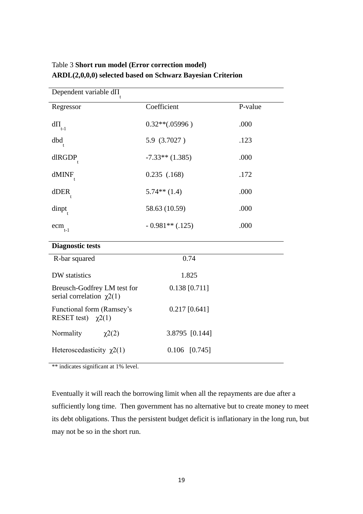| Dependent variable d∏                                         |                   |         |
|---------------------------------------------------------------|-------------------|---------|
| Regressor                                                     | Coefficient       | P-value |
| $d\Pi$<br>$t-1$                                               | $0.32**(.05996)$  | .000    |
| dbd                                                           | 5.9 (3.7027)      | .123    |
| dlRGDP                                                        | $-7.33**$ (1.385) | .000    |
| $d$ MIN $F_t$                                                 | $0.235$ $(.168)$  | .172    |
| dDER                                                          | $5.74**$ (1.4)    | .000    |
| dinpt                                                         | 58.63 (10.59)     | .000    |
| ecm<br>$t-1$                                                  | $-0.981**$ (.125) | .000    |
| <b>Diagnostic tests</b>                                       |                   |         |
| R-bar squared                                                 | 0.74              |         |
| DW statistics                                                 | 1.825             |         |
| Breusch-Godfrey LM test for<br>serial correlation $\chi^2(1)$ | $0.138$ [0.711]   |         |
| Functional form (Ramsey's<br>RESET test) $\chi$ 2(1)          | $0.217$ [0.641]   |         |
| Normality<br>$\chi^2(2)$                                      | 3.8795 [0.144]    |         |
| Heteroscedasticity $\chi$ 2(1)                                | 0.106<br>[0.745]  |         |

## Table 3 **Short run model (Error correction model) ARDL(2,0,0,0) selected based on Schwarz Bayesian Criterion**

\*\* indicates significant at 1% level.

Eventually it will reach the borrowing limit when all the repayments are due after a sufficiently long time. Then government has no alternative but to create money to meet its debt obligations. Thus the persistent budget deficit is inflationary in the long run, but may not be so in the short run.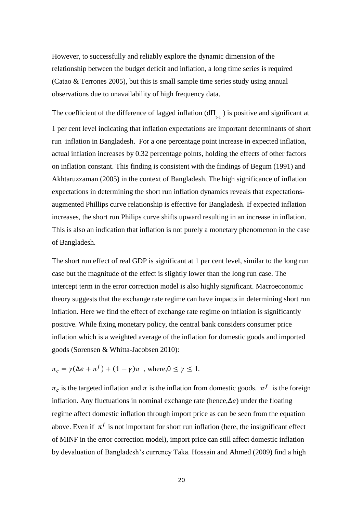However, to successfully and reliably explore the dynamic dimension of the relationship between the budget deficit and inflation, a long time series is required (Catao & Terrones 2005), but this is small sample time series study using annual observations due to unavailability of high frequency data.

The coefficient of the difference of lagged inflation  $(d\Pi_{t-1})$  is positive and significant at 1 per cent level indicating that inflation expectations are important determinants of short run inflation in Bangladesh. For a one percentage point increase in expected inflation, actual inflation increases by 0.32 percentage points, holding the effects of other factors on inflation constant. This finding is consistent with the findings of Begum (1991) and Akhtaruzzaman (2005) in the context of Bangladesh. The high significance of inflation expectations in determining the short run inflation dynamics reveals that expectationsaugmented Phillips curve relationship is effective for Bangladesh. If expected inflation increases, the short run Philips curve shifts upward resulting in an increase in inflation. This is also an indication that inflation is not purely a monetary phenomenon in the case of Bangladesh.

The short run effect of real GDP is significant at 1 per cent level, similar to the long run case but the magnitude of the effect is slightly lower than the long run case. The intercept term in the error correction model is also highly significant. Macroeconomic theory suggests that the exchange rate regime can have impacts in determining short run inflation. Here we find the effect of exchange rate regime on inflation is significantly positive. While fixing monetary policy, the central bank considers consumer price inflation which is a weighted average of the inflation for domestic goods and imported goods (Sorensen & Whitta-Jacobsen 2010):

$$
\pi_c = \gamma(\Delta e + \pi^f) + (1 - \gamma)\pi \text{ , where, } 0 \le \gamma \le 1
$$

 $\pi_c$  is the targeted inflation and  $\pi$  is the inflation from domestic goods.  $\pi^f$  is the foreign inflation. Any fluctuations in nominal exchange rate (hence,  $\Delta e$ ) under the floating regime affect domestic inflation through import price as can be seen from the equation above. Even if  $\pi^f$  is not important for short run inflation (here, the insignificant effect of MINF in the error correction model), import price can still affect domestic inflation by devaluation of Bangladesh's currency Taka. Hossain and Ahmed (2009) find a high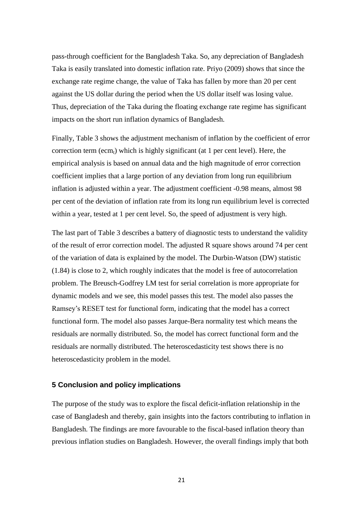pass-through coefficient for the Bangladesh Taka. So, any depreciation of Bangladesh Taka is easily translated into domestic inflation rate. Priyo (2009) shows that since the exchange rate regime change, the value of Taka has fallen by more than 20 per cent against the US dollar during the period when the US dollar itself was losing value. Thus, depreciation of the Taka during the floating exchange rate regime has significant impacts on the short run inflation dynamics of Bangladesh.

Finally, Table 3 shows the adjustment mechanism of inflation by the coefficient of error correction term (ecm<sub>t</sub>) which is highly significant (at 1 per cent level). Here, the empirical analysis is based on annual data and the high magnitude of error correction coefficient implies that a large portion of any deviation from long run equilibrium inflation is adjusted within a year. The adjustment coefficient -0.98 means, almost 98 per cent of the deviation of inflation rate from its long run equilibrium level is corrected within a year, tested at 1 per cent level. So, the speed of adjustment is very high.

The last part of Table 3 describes a battery of diagnostic tests to understand the validity of the result of error correction model. The adjusted R square shows around 74 per cent of the variation of data is explained by the model. The Durbin-Watson (DW) statistic (1.84) is close to 2, which roughly indicates that the model is free of autocorrelation problem. The Breusch-Godfrey LM test for serial correlation is more appropriate for dynamic models and we see, this model passes this test. The model also passes the Ramsey's RESET test for functional form, indicating that the model has a correct functional form. The model also passes Jarque-Bera normality test which means the residuals are normally distributed. So, the model has correct functional form and the residuals are normally distributed. The heteroscedasticity test shows there is no heteroscedasticity problem in the model.

## **5 Conclusion and policy implications**

The purpose of the study was to explore the fiscal deficit-inflation relationship in the case of Bangladesh and thereby, gain insights into the factors contributing to inflation in Bangladesh. The findings are more favourable to the fiscal-based inflation theory than previous inflation studies on Bangladesh. However, the overall findings imply that both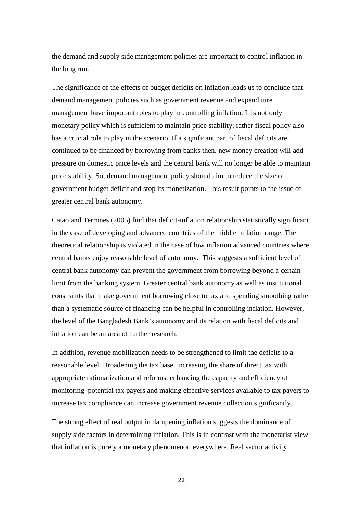the demand and supply side management policies are important to control inflation in the long run.

The significance of the effects of budget deficits on inflation leads us to conclude that demand management policies such as government revenue and expenditure management have important roles to play in controlling inflation. It is not only monetary policy which is sufficient to maintain price stability; rather fiscal policy also has a crucial role to play in the scenario. If a significant part of fiscal deficits are continued to be financed by borrowing from banks then, new money creation will add pressure on domestic price levels and the central bank will no longer be able to maintain price stability. So, demand management policy should aim to reduce the size of government budget deficit and stop its monetization. This result points to the issue of greater central bank autonomy.

Catao and Terrones (2005) find that deficit-inflation relationship statistically significant in the case of developing and advanced countries of the middle inflation range. The theoretical relationship is violated in the case of low inflation advanced countries where central banks enjoy reasonable level of autonomy. This suggests a sufficient level of central bank autonomy can prevent the government from borrowing beyond a certain limit from the banking system. Greater central bank autonomy as well as institutional constraints that make government borrowing close to tax and spending smoothing rather than a systematic source of financing can be helpful in controlling inflation. However, the level of the Bangladesh Bank's autonomy and its relation with fiscal deficits and inflation can be an area of further research.

In addition, revenue mobilization needs to be strengthened to limit the deficits to a reasonable level. Broadening the tax base, increasing the share of direct tax with appropriate rationalization and reforms, enhancing the capacity and efficiency of monitoring potential tax payers and making effective services available to tax payers to increase tax compliance can increase government revenue collection significantly.

The strong effect of real output in dampening inflation suggests the dominance of supply side factors in determining inflation. This is in contrast with the monetarist view that inflation is purely a monetary phenomenon everywhere. Real sector activity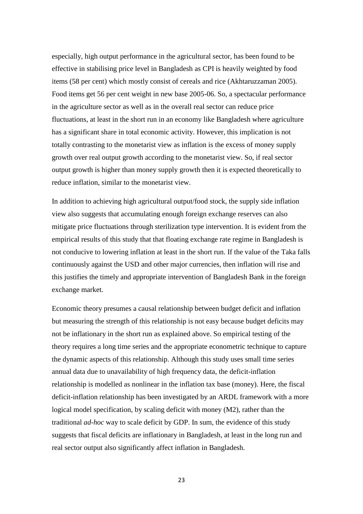especially, high output performance in the agricultural sector, has been found to be effective in stabilising price level in Bangladesh as CPI is heavily weighted by food items (58 per cent) which mostly consist of cereals and rice (Akhtaruzzaman 2005). Food items get 56 per cent weight in new base 2005-06. So, a spectacular performance in the agriculture sector as well as in the overall real sector can reduce price fluctuations, at least in the short run in an economy like Bangladesh where agriculture has a significant share in total economic activity. However, this implication is not totally contrasting to the monetarist view as inflation is the excess of money supply growth over real output growth according to the monetarist view. So, if real sector output growth is higher than money supply growth then it is expected theoretically to reduce inflation, similar to the monetarist view.

In addition to achieving high agricultural output/food stock, the supply side inflation view also suggests that accumulating enough foreign exchange reserves can also mitigate price fluctuations through sterilization type intervention. It is evident from the empirical results of this study that that floating exchange rate regime in Bangladesh is not conducive to lowering inflation at least in the short run. If the value of the Taka falls continuously against the USD and other major currencies, then inflation will rise and this justifies the timely and appropriate intervention of Bangladesh Bank in the foreign exchange market.

Economic theory presumes a causal relationship between budget deficit and inflation but measuring the strength of this relationship is not easy because budget deficits may not be inflationary in the short run as explained above. So empirical testing of the theory requires a long time series and the appropriate econometric technique to capture the dynamic aspects of this relationship. Although this study uses small time series annual data due to unavailability of high frequency data, the deficit-inflation relationship is modelled as nonlinear in the inflation tax base (money). Here, the fiscal deficit-inflation relationship has been investigated by an ARDL framework with a more logical model specification, by scaling deficit with money (M2), rather than the traditional *ad-hoc* way to scale deficit by GDP. In sum, the evidence of this study suggests that fiscal deficits are inflationary in Bangladesh, at least in the long run and real sector output also significantly affect inflation in Bangladesh.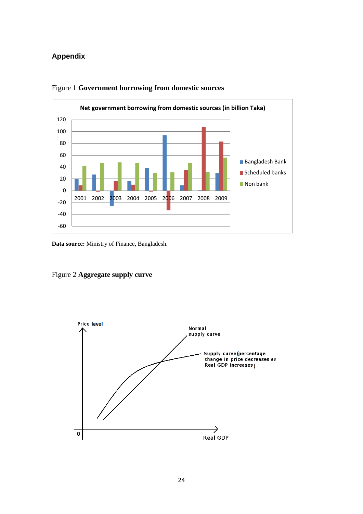## **Appendix**



## Figure 1 **Government borrowing from domestic sources**

**Data source:** Ministry of Finance, Bangladesh.



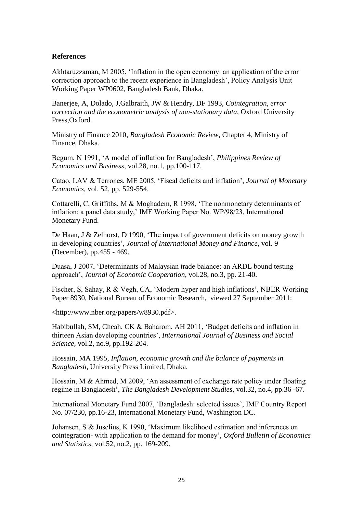### **References**

Akhtaruzzaman, M 2005, 'Inflation in the open economy: an application of the error correction approach to the recent experience in Bangladesh', Policy Analysis Unit Working Paper WP0602, Bangladesh Bank, Dhaka.

Banerjee, A, Dolado, J,Galbraith, JW & Hendry, DF 1993, *Cointegration, error correction and the econometric analysis of non-stationary data*, Oxford University Press,Oxford.

Ministry of Finance 2010, *Bangladesh Economic Review*, Chapter 4, Ministry of Finance, Dhaka.

Begum, N 1991, 'A model of inflation for Bangladesh', *Philippines Review of Economics and Business,* vol.28, no.1, pp.100-117.

Catao, LAV & Terrones, ME 2005, 'Fiscal deficits and inflation', *Journal of Monetary Economics,* vol. 52, pp. 529-554.

Cottarelli, C, Griffiths, M & Moghadem, R 1998, 'The nonmonetary determinants of inflation: a panel data study,' IMF Working Paper No. WP/98/23, International Monetary Fund.

De Haan, J & Zelhorst, D 1990, 'The impact of government deficits on money growth in developing countries', *Journal of International Money and Finance*, vol. 9 (December), pp.455 - 469.

Duasa, J 2007, 'Determinants of Malaysian trade balance: an ARDL bound testing approach', *Journal of Economic Cooperation*, vol.28, no.3, pp. 21-40.

Fischer, S, Sahay, R & Vegh, CA, 'Modern hyper and high inflations', NBER Working Paper 8930, National Bureau of Economic Research, viewed 27 September 2011:

<http://www.nber.org/papers/w8930.pdf>.

Habibullah, SM, Cheah, CK & Baharom, AH 2011, 'Budget deficits and inflation in thirteen Asian developing countries', *International Journal of Business and Social Science,* vol.2, no.9, pp.192-204.

Hossain, MA 1995, *Inflation, economic growth and the balance of payments in Bangladesh,* University Press Limited, Dhaka.

Hossain, M & Ahmed, M 2009, 'An assessment of exchange rate policy under floating regime in Bangladesh', *The Bangladesh Development Studies*, vol.32, no.4, pp.36 -67.

International Monetary Fund 2007, 'Bangladesh: selected issues', IMF Country Report No. 07/230, pp.16-23, International Monetary Fund, Washington DC.

Johansen, S & Juselius, K 1990, 'Maximum likelihood estimation and inferences on cointegration- with application to the demand for money', *Oxford Bulletin of Economics and Statistics,* vol.52, no.2, pp. 169-209.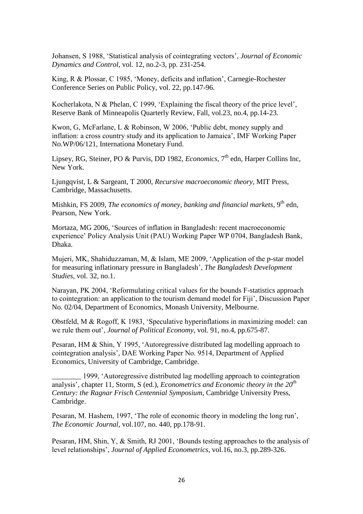Johansen, S 1988, 'Statistical analysis of cointegrating vectors', *Journal of Economic Dynamics and Control,* vol. 12, no.2-3, pp. 231-254.

King, R & Plossar, C 1985, 'Money, deficits and inflation', Carnegie-Rochester Conference Series on Public Policy, vol. 22, pp.147-96.

Kocherlakota, N & Phelan, C 1999, 'Explaining the fiscal theory of the price level', Reserve Bank of Minneapolis Quarterly Review, Fall, vol.23, no.4, pp.14-23.

Kwon, G, McFarlane, L & Robinson, W 2006, 'Public debt, money supply and inflation: a cross country study and its application to Jamaica', IMF Working Paper No.WP/06/121, Internationa Monetary Fund.

Lipsey, RG, Steiner, PO & Purvis, DD 1982, *Economics*, 7<sup>th</sup> edn, Harper Collins Inc, New York.

Ljungqvist, L & Sargeant, T 2000, *Recursive macroeconomic theory*, MIT Press, Cambridge, Massachusetts.

Mishkin, FS 2009, *The economics of money, banking and financial markets*, 9<sup>th</sup> edn, Pearson, New York.

Mortaza, MG 2006, 'Sources of inflation in Bangladesh: recent macroeconomic experience' Policy Analysis Unit (PAU) Working Paper WP 0704, Bangladesh Bank, Dhaka.

Mujeri, MK, Shahiduzzaman, M, & Islam, ME 2009, 'Application of the p-star model for measuring inflationary pressure in Bangladesh', *The Bangladesh Development Studies,* vol. 32, no.1.

Narayan, PK 2004, 'Reformulating critical values for the bounds F-statistics approach to cointegration: an application to the tourism demand model for Fiji', Discussion Paper No. 02/04, Department of Economics, Monash University, Melbourne.

Obstfeld, M & Rogoff, K 1983, 'Speculative hyperinflations in maximizing model: can we rule them out', *Journal of Political Economy*, vol. 91, no.4, pp.675-87.

Pesaran, HM & Shin, Y 1995, 'Autoregressive distributed lag modelling approach to cointegration analysis', DAE Working Paper No. 9514, Department of Applied Economics, University of Cambridge, Cambridge.

\_\_\_\_\_\_\_\_ 1999, 'Autoregressive distributed lag modelling approach to cointegration analysis', chapter 11, Storm, S (ed.), *Econometrics and Economic theory in the 20th Century: the Ragnar Frisch Centennial Symposium*, Cambridge University Press, Cambridge.

Pesaran, M. Hashem, 1997, 'The role of economic theory in modeling the long run', *The Economic Journal*, vol.107, no. 440, pp.178-91.

Pesaran, HM, Shin, Y, & Smith, RJ 2001, 'Bounds testing approaches to the analysis of level relationships', *Journal of Applied Econometrics*, vol.16, no.3, pp.289-326.